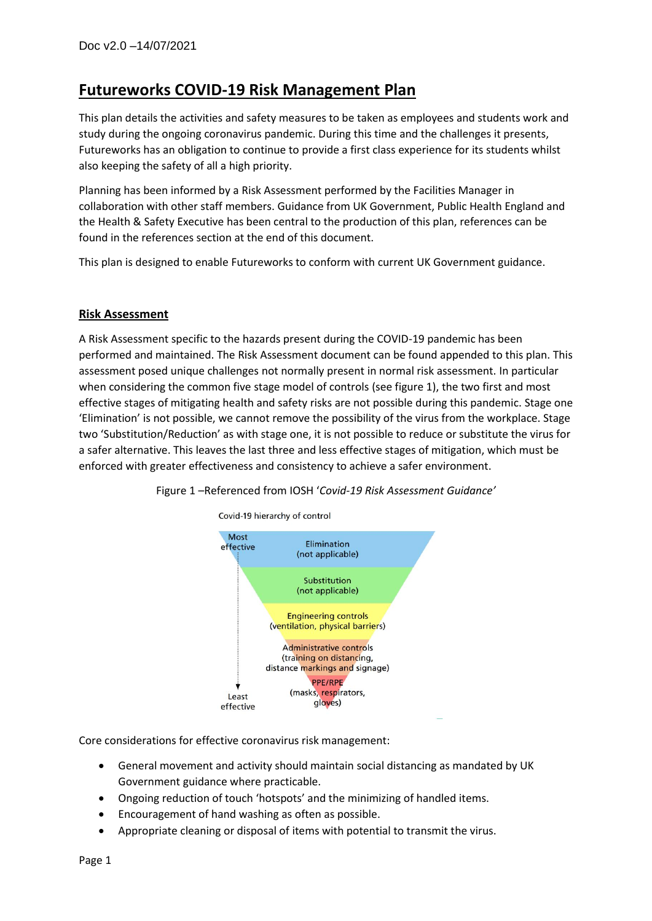# **Futureworks COVID-19 Risk Management Plan**

This plan details the activities and safety measures to be taken as employees and students work and study during the ongoing coronavirus pandemic. During this time and the challenges it presents, Futureworks has an obligation to continue to provide a first class experience for its students whilst also keeping the safety of all a high priority.

Planning has been informed by a Risk Assessment performed by the Facilities Manager in collaboration with other staff members. Guidance from UK Government, Public Health England and the Health & Safety Executive has been central to the production of this plan, references can be found in the references section at the end of this document.

This plan is designed to enable Futureworks to conform with current UK Government guidance.

# **Risk Assessment**

A Risk Assessment specific to the hazards present during the COVID-19 pandemic has been performed and maintained. The Risk Assessment document can be found appended to this plan. This assessment posed unique challenges not normally present in normal risk assessment. In particular when considering the common five stage model of controls (see figure 1), the two first and most effective stages of mitigating health and safety risks are not possible during this pandemic. Stage one 'Elimination' is not possible, we cannot remove the possibility of the virus from the workplace. Stage two 'Substitution/Reduction' as with stage one, it is not possible to reduce or substitute the virus for a safer alternative. This leaves the last three and less effective stages of mitigation, which must be enforced with greater effectiveness and consistency to achieve a safer environment.



Figure 1 –Referenced from IOSH '*Covid-19 Risk Assessment Guidance'*

Core considerations for effective coronavirus risk management:

- General movement and activity should maintain social distancing as mandated by UK Government guidance where practicable.
- Ongoing reduction of touch 'hotspots' and the minimizing of handled items.
- Encouragement of hand washing as often as possible.
- Appropriate cleaning or disposal of items with potential to transmit the virus.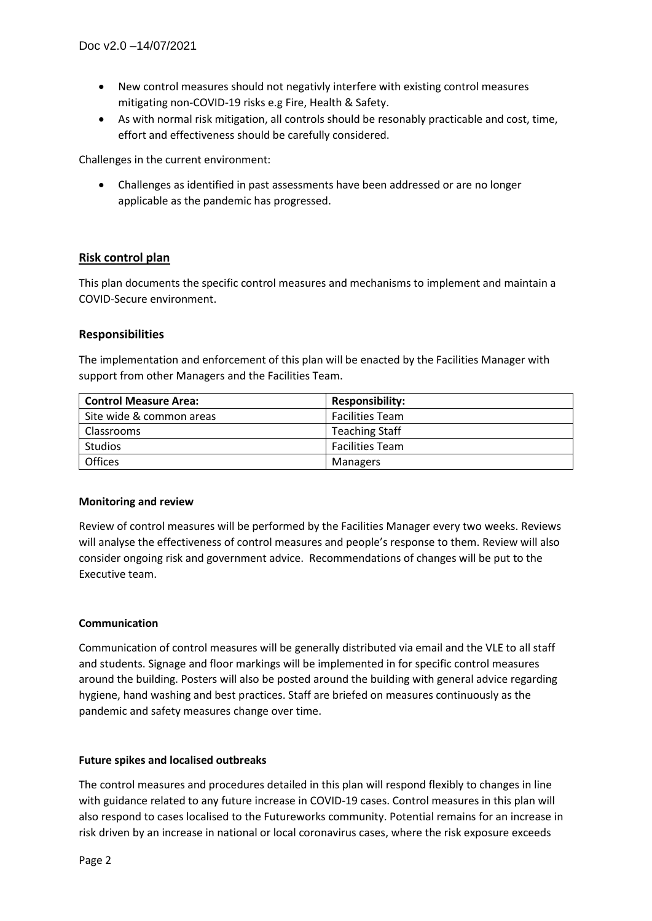- New control measures should not negativly interfere with existing control measures mitigating non-COVID-19 risks e.g Fire, Health & Safety.
- As with normal risk mitigation, all controls should be resonably practicable and cost, time, effort and effectiveness should be carefully considered.

Challenges in the current environment:

• Challenges as identified in past assessments have been addressed or are no longer applicable as the pandemic has progressed.

### **Risk control plan**

This plan documents the specific control measures and mechanisms to implement and maintain a COVID-Secure environment.

#### **Responsibilities**

The implementation and enforcement of this plan will be enacted by the Facilities Manager with support from other Managers and the Facilities Team.

| <b>Control Measure Area:</b> | <b>Responsibility:</b> |  |  |  |
|------------------------------|------------------------|--|--|--|
| Site wide & common areas     | <b>Facilities Team</b> |  |  |  |
| Classrooms                   | <b>Teaching Staff</b>  |  |  |  |
| <b>Studios</b>               | <b>Facilities Team</b> |  |  |  |
| <b>Offices</b>               | Managers               |  |  |  |

#### **Monitoring and review**

Review of control measures will be performed by the Facilities Manager every two weeks. Reviews will analyse the effectiveness of control measures and people's response to them. Review will also consider ongoing risk and government advice. Recommendations of changes will be put to the Executive team.

#### **Communication**

Communication of control measures will be generally distributed via email and the VLE to all staff and students. Signage and floor markings will be implemented in for specific control measures around the building. Posters will also be posted around the building with general advice regarding hygiene, hand washing and best practices. Staff are briefed on measures continuously as the pandemic and safety measures change over time.

#### **Future spikes and localised outbreaks**

The control measures and procedures detailed in this plan will respond flexibly to changes in line with guidance related to any future increase in COVID-19 cases. Control measures in this plan will also respond to cases localised to the Futureworks community. Potential remains for an increase in risk driven by an increase in national or local coronavirus cases, where the risk exposure exceeds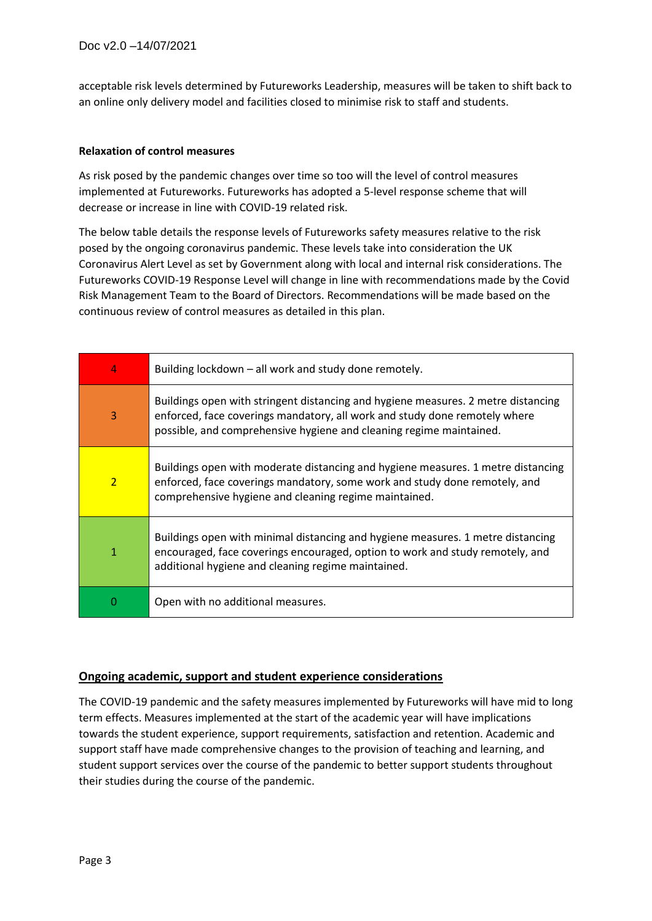acceptable risk levels determined by Futureworks Leadership, measures will be taken to shift back to an online only delivery model and facilities closed to minimise risk to staff and students.

#### **Relaxation of control measures**

As risk posed by the pandemic changes over time so too will the level of control measures implemented at Futureworks. Futureworks has adopted a 5-level response scheme that will decrease or increase in line with COVID-19 related risk.

The below table details the response levels of Futureworks safety measures relative to the risk posed by the ongoing coronavirus pandemic. These levels take into consideration the UK Coronavirus Alert Level as set by Government along with local and internal risk considerations. The Futureworks COVID-19 Response Level will change in line with recommendations made by the Covid Risk Management Team to the Board of Directors. Recommendations will be made based on the continuous review of control measures as detailed in this plan.

| 4              | Building lockdown – all work and study done remotely.                                                                                                                                                                                  |  |  |  |  |  |  |
|----------------|----------------------------------------------------------------------------------------------------------------------------------------------------------------------------------------------------------------------------------------|--|--|--|--|--|--|
| $\overline{3}$ | Buildings open with stringent distancing and hygiene measures. 2 metre distancing<br>enforced, face coverings mandatory, all work and study done remotely where<br>possible, and comprehensive hygiene and cleaning regime maintained. |  |  |  |  |  |  |
| $\overline{2}$ | Buildings open with moderate distancing and hygiene measures. 1 metre distancing<br>enforced, face coverings mandatory, some work and study done remotely, and<br>comprehensive hygiene and cleaning regime maintained.                |  |  |  |  |  |  |
| 1              | Buildings open with minimal distancing and hygiene measures. 1 metre distancing<br>encouraged, face coverings encouraged, option to work and study remotely, and<br>additional hygiene and cleaning regime maintained.                 |  |  |  |  |  |  |
| 0              | Open with no additional measures.                                                                                                                                                                                                      |  |  |  |  |  |  |

#### **Ongoing academic, support and student experience considerations**

The COVID-19 pandemic and the safety measures implemented by Futureworks will have mid to long term effects. Measures implemented at the start of the academic year will have implications towards the student experience, support requirements, satisfaction and retention. Academic and support staff have made comprehensive changes to the provision of teaching and learning, and student support services over the course of the pandemic to better support students throughout their studies during the course of the pandemic.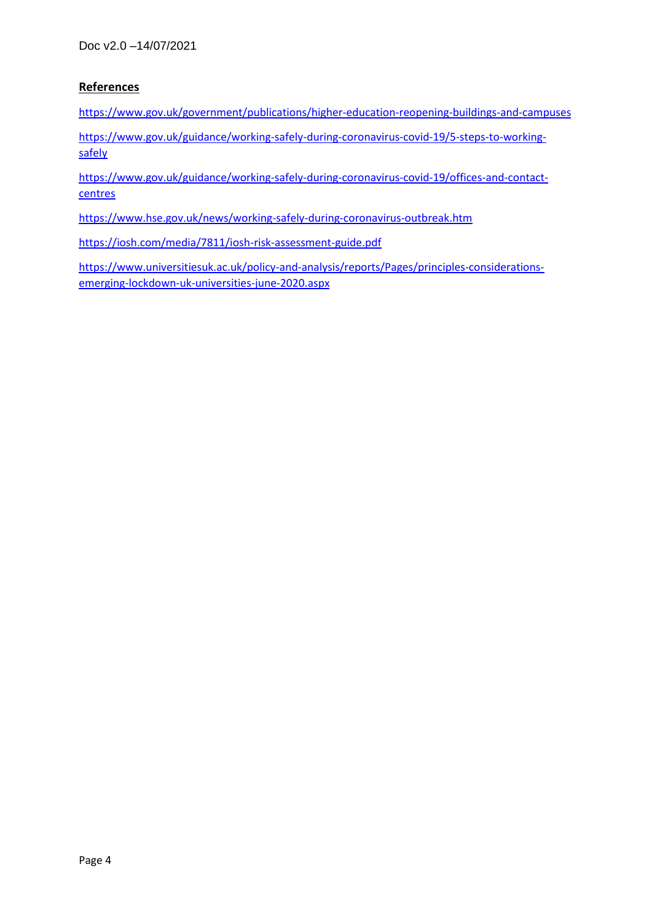# **References**

<https://www.gov.uk/government/publications/higher-education-reopening-buildings-and-campuses>

[https://www.gov.uk/guidance/working-safely-during-coronavirus-covid-19/5-steps-to-working](https://www.gov.uk/guidance/working-safely-during-coronavirus-covid-19/5-steps-to-working-safely)[safely](https://www.gov.uk/guidance/working-safely-during-coronavirus-covid-19/5-steps-to-working-safely)

[https://www.gov.uk/guidance/working-safely-during-coronavirus-covid-19/offices-and-contact](https://www.gov.uk/guidance/working-safely-during-coronavirus-covid-19/offices-and-contact-centres)[centres](https://www.gov.uk/guidance/working-safely-during-coronavirus-covid-19/offices-and-contact-centres)

<https://www.hse.gov.uk/news/working-safely-during-coronavirus-outbreak.htm>

<https://iosh.com/media/7811/iosh-risk-assessment-guide.pdf>

[https://www.universitiesuk.ac.uk/policy-and-analysis/reports/Pages/principles-considerations](https://www.universitiesuk.ac.uk/policy-and-analysis/reports/Pages/principles-considerations-emerging-lockdown-uk-universities-june-2020.aspx)[emerging-lockdown-uk-universities-june-2020.aspx](https://www.universitiesuk.ac.uk/policy-and-analysis/reports/Pages/principles-considerations-emerging-lockdown-uk-universities-june-2020.aspx)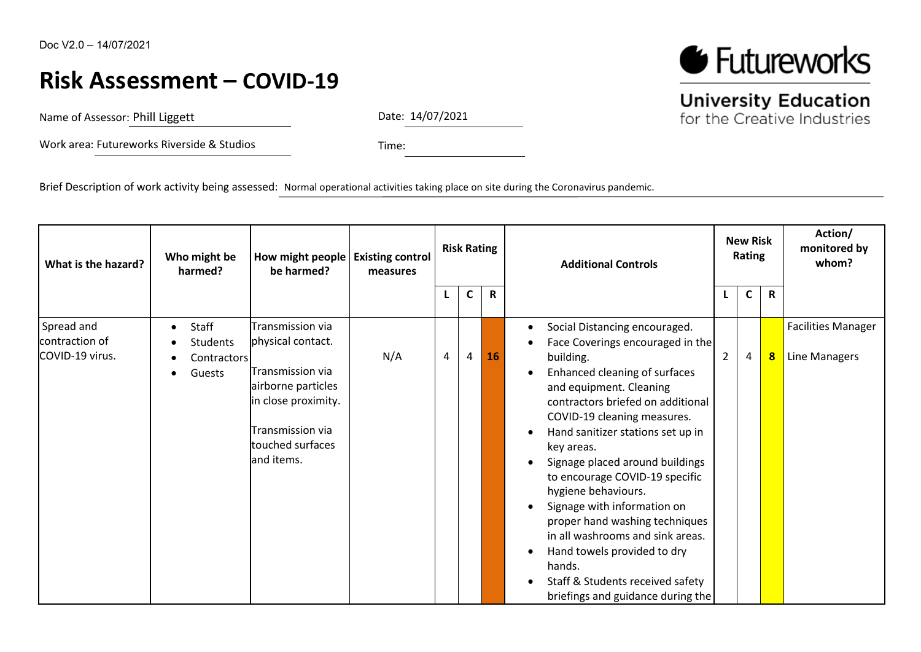# **Risk Assessment – COVID-19**

Name of Assessor: Phill Liggett

Date: 14/07/2021

Work area: Futureworks Riverside & Studios

Time:

Brief Description of work activity being assessed: Normal operational activities taking place on site during the Coronavirus pandemic.

| What is the hazard?                             | Who might be<br>harmed?                                                            | How might people   Existing control<br>be harmed?                                                                                                            | measures | <b>Risk Rating</b> |              |    | <b>Additional Controls</b>                                                                                                                                                                                                                                                                                                                                                                                                                                                                                                                                                                             | <b>New Risk</b><br>Rating |              |                         | Action/<br>monitored by<br>whom?           |
|-------------------------------------------------|------------------------------------------------------------------------------------|--------------------------------------------------------------------------------------------------------------------------------------------------------------|----------|--------------------|--------------|----|--------------------------------------------------------------------------------------------------------------------------------------------------------------------------------------------------------------------------------------------------------------------------------------------------------------------------------------------------------------------------------------------------------------------------------------------------------------------------------------------------------------------------------------------------------------------------------------------------------|---------------------------|--------------|-------------------------|--------------------------------------------|
|                                                 |                                                                                    |                                                                                                                                                              |          |                    | $\mathsf{C}$ | R  |                                                                                                                                                                                                                                                                                                                                                                                                                                                                                                                                                                                                        |                           | $\mathsf{C}$ | $\mathbf R$             |                                            |
| Spread and<br>contraction of<br>COVID-19 virus. | Staff<br>$\bullet$<br><b>Students</b><br><b>Contractors</b><br>Guests<br>$\bullet$ | Transmission via<br>physical contact.<br>Transmission via<br>airborne particles<br>in close proximity.<br>Transmission via<br>touched surfaces<br>and items. | N/A      | 4                  | 4            | 16 | Social Distancing encouraged.<br>٠<br>Face Coverings encouraged in the<br>building.<br>Enhanced cleaning of surfaces<br>and equipment. Cleaning<br>contractors briefed on additional<br>COVID-19 cleaning measures.<br>Hand sanitizer stations set up in<br>key areas.<br>Signage placed around buildings<br>to encourage COVID-19 specific<br>hygiene behaviours.<br>Signage with information on<br>proper hand washing techniques<br>in all washrooms and sink areas.<br>Hand towels provided to dry<br>$\bullet$<br>hands.<br>Staff & Students received safety<br>briefings and guidance during the | $\overline{2}$            | 4            | $\overline{\mathbf{8}}$ | <b>Facilities Manager</b><br>Line Managers |



**University Education** 

for the Creative Industries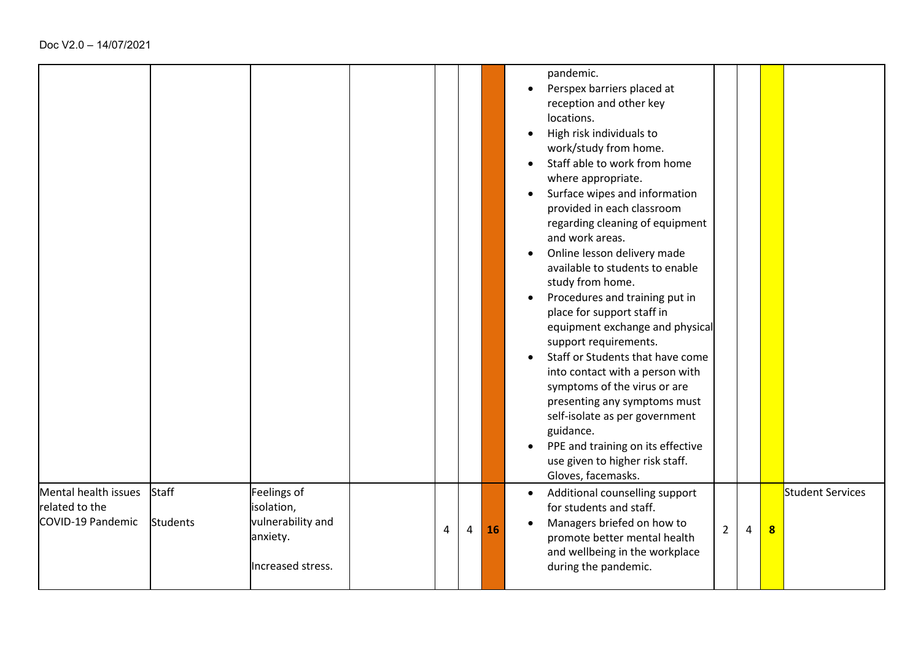|                                                             |                          |                                                                                 |   |   |    | pandemic.<br>Perspex barriers placed at<br>reception and other key<br>locations.<br>High risk individuals to<br>work/study from home.<br>Staff able to work from home<br>where appropriate.<br>Surface wipes and information<br>provided in each classroom<br>regarding cleaning of equipment<br>and work areas.<br>Online lesson delivery made<br>available to students to enable<br>study from home.<br>Procedures and training put in<br>place for support staff in<br>equipment exchange and physical<br>support requirements.<br>Staff or Students that have come<br>into contact with a person with<br>symptoms of the virus or are<br>presenting any symptoms must<br>self-isolate as per government<br>guidance.<br>PPE and training on its effective<br>use given to higher risk staff.<br>Gloves, facemasks. |
|-------------------------------------------------------------|--------------------------|---------------------------------------------------------------------------------|---|---|----|------------------------------------------------------------------------------------------------------------------------------------------------------------------------------------------------------------------------------------------------------------------------------------------------------------------------------------------------------------------------------------------------------------------------------------------------------------------------------------------------------------------------------------------------------------------------------------------------------------------------------------------------------------------------------------------------------------------------------------------------------------------------------------------------------------------------|
| Mental health issues<br>related to the<br>COVID-19 Pandemic | Staff<br><b>Students</b> | Feelings of<br>isolation,<br>vulnerability and<br>anxiety.<br>Increased stress. | 4 | 4 | 16 | <b>Student Services</b><br>Additional counselling support<br>$\bullet$<br>for students and staff.<br>Managers briefed on how to<br>$\mathbf{8}$<br>$\overline{2}$<br>4<br>promote better mental health<br>and wellbeing in the workplace<br>during the pandemic.                                                                                                                                                                                                                                                                                                                                                                                                                                                                                                                                                       |